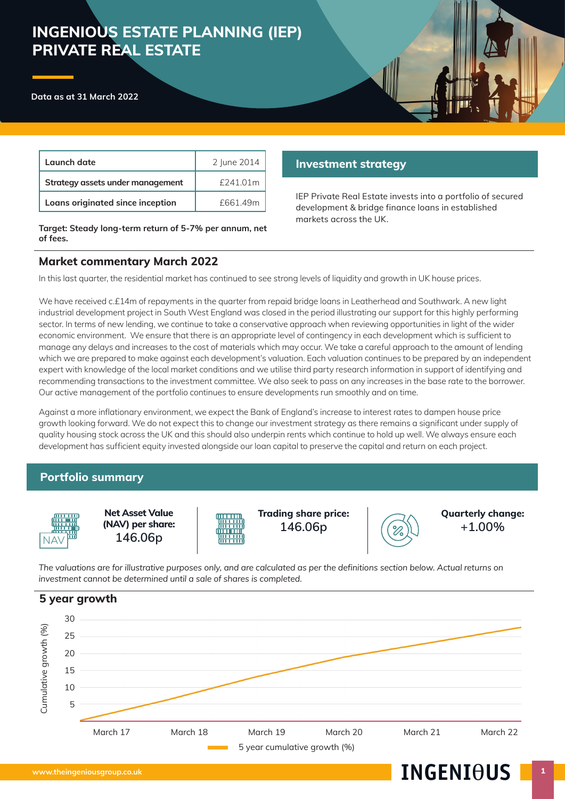# **INGENIOUS ESTATE PLANNING (IEP) PRIVATE REAL ESTATE**



| Launch date                      | 2 June 2014 |
|----------------------------------|-------------|
| Strategy assets under management | $f$ 241.01m |
| Loans originated since inception | £661.49m    |

**Target: Steady long-term return of 5-7% per annum, net of fees.**

# **Investment strategy**

IEP Private Real Estate invests into a portfolio of secured development & bridge finance loans in established markets across the UK.

# **Market commentary March 2022**

In this last quarter, the residential market has continued to see strong levels of liquidity and growth in UK house prices.

We have received c.£14m of repayments in the quarter from repaid bridge loans in Leatherhead and Southwark. A new light industrial development project in South West England was closed in the period illustrating our support for this highly performing sector. In terms of new lending, we continue to take a conservative approach when reviewing opportunities in light of the wider economic environment. We ensure that there is an appropriate level of contingency in each development which is sufficient to manage any delays and increases to the cost of materials which may occur. We take a careful approach to the amount of lending which we are prepared to make against each development's valuation. Each valuation continues to be prepared by an independent expert with knowledge of the local market conditions and we utilise third party research information in support of identifying and recommending transactions to the investment committee. We also seek to pass on any increases in the base rate to the borrower. Our active management of the portfolio continues to ensure developments run smoothly and on time.

Against a more inflationary environment, we expect the Bank of England's increase to interest rates to dampen house price growth looking forward. We do not expect this to change our investment strategy as there remains a significant under supply of quality housing stock across the UK and this should also underpin rents which continue to hold up well. We always ensure each development has sufficient equity invested alongside our loan capital to preserve the capital and return on each project.

# **Portfolio summary**



**Net Asset Value (NAV) per share:** NAV **146.06p**

**Trading share price: 146.06p**



**Quarterly change: +1.00%**

*The valuations are for illustrative purposes only, and are calculated as per the definitions section below. Actual returns on investment cannot be determined until a sale of shares is completed.* 

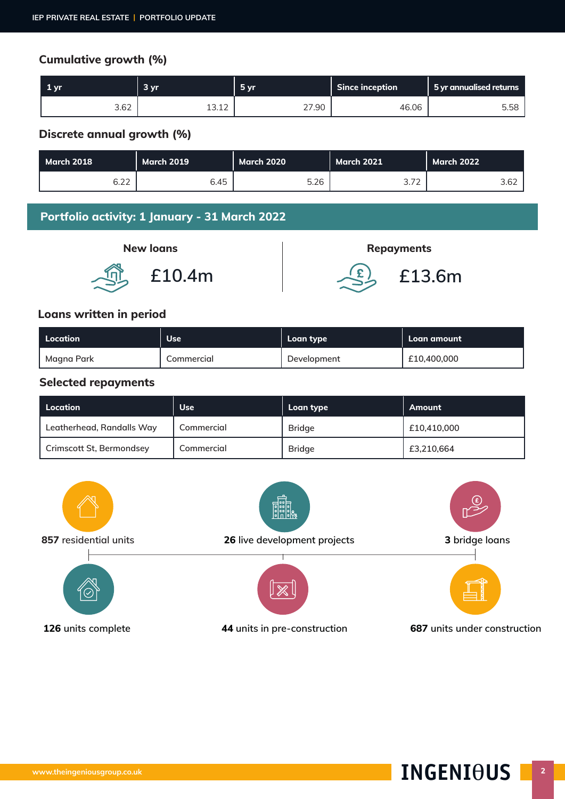# **Cumulative growth (%)**

| '1 vr. | 3 <sub>vr</sub>       | $-5vr$ | <b>Since inception</b> | 5 yr annualised returns |
|--------|-----------------------|--------|------------------------|-------------------------|
| 3.62   | $\sim$<br>1つ<br>⊥J.⊥∠ | 27.90  | 46.06                  | 5.58                    |

# **Discrete annual growth (%)**

| March 2018 | <b>March 2019</b> | <b>March 2020</b> | <b>March 2021</b>               | <b>March 2022</b> |
|------------|-------------------|-------------------|---------------------------------|-------------------|
| 6.22       | 6.45              | 5.26              | $\neg$<br><u>.,</u><br><u>_</u> | 3.62              |

# **Portfolio activity: 1 January - 31 March 2022**





# **Loans written in period**

| Location   | <b>Use</b> | Loan type   | Loan amount |
|------------|------------|-------------|-------------|
| Magna Park | Commercial | Development | £10,400,000 |

#### **Selected repayments**

| l Location                | <b>Use</b> | Loan type     | Amount      |
|---------------------------|------------|---------------|-------------|
| Leatherhead, Randalls Way | Commercial | <b>Bridge</b> | £10,410,000 |
| Crimscott St, Bermondsey  | Commercial | <b>Bridge</b> | £3,210,664  |